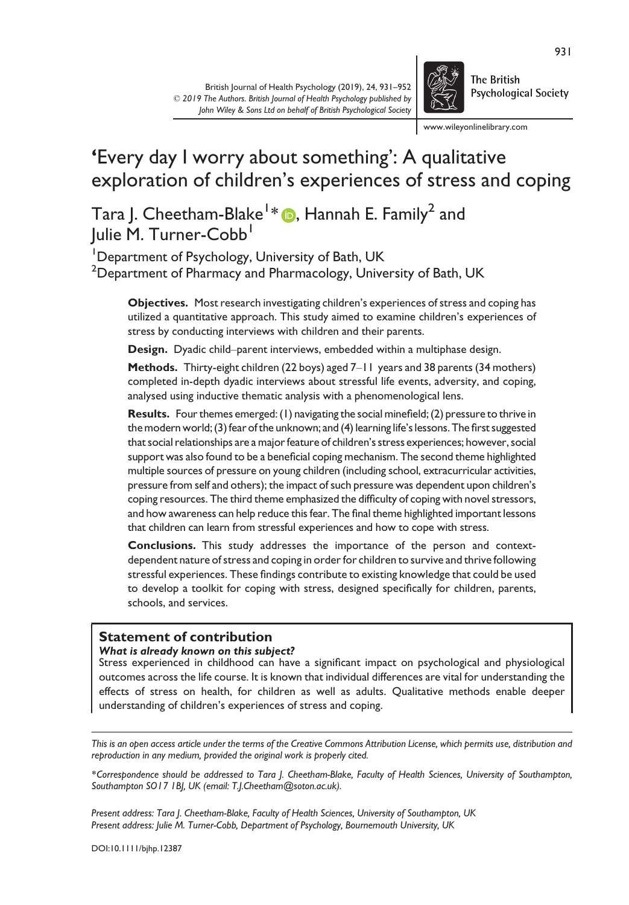

**The British Psychological Society** 

www.wileyonlinelibrary.com

# 'Every day I worry about something': A qualitative exploration of children's experiences of stress and coping

Tara J. Cheetham-Blake $^{1}\ast$   $\text{\textregistered}$ , Hannah E. Family $^{2}$  and Julie M. Turner-Cobb<sup>1</sup>

<sup>1</sup>Department of Psychology, University of Bath, UK  $^2$ Department of Pharmacy and Pharmacology, University of Bath, UK

Objectives. Most research investigating children's experiences of stress and coping has utilized a quantitative approach. This study aimed to examine children's experiences of stress by conducting interviews with children and their parents.

Design. Dyadic child–parent interviews, embedded within a multiphase design.

Methods. Thirty-eight children (22 boys) aged 7–11 years and 38 parents (34 mothers) completed in-depth dyadic interviews about stressful life events, adversity, and coping, analysed using inductive thematic analysis with a phenomenological lens.

Results. Four themes emerged: (1) navigating the social minefield; (2) pressure to thrive in the modern world; (3) fear of the unknown; and (4) learning life's lessons. The first suggested that social relationships are a major feature of children's stress experiences; however, social support was also found to be a beneficial coping mechanism. The second theme highlighted multiple sources of pressure on young children (including school, extracurricular activities, pressure from self and others); the impact of such pressure was dependent upon children's coping resources. The third theme emphasized the difficulty of coping with novel stressors, and how awareness can help reduce this fear. The final theme highlighted important lessons that children can learn from stressful experiences and how to cope with stress.

Conclusions. This study addresses the importance of the person and contextdependent nature of stress and coping in order for children to survive and thrive following stressful experiences. These findings contribute to existing knowledge that could be used to develop a toolkit for coping with stress, designed specifically for children, parents, schools, and services.

# Statement of contribution

#### What is already known on this subject?

Stress experienced in childhood can have a significant impact on psychological and physiological outcomes across the life course. It is known that individual differences are vital for understanding the effects of stress on health, for children as well as adults. Qualitative methods enable deeper understanding of children's experiences of stress and coping.

This is an open access article under the terms of the [Creative Commons Attribution](http://creativecommons.org/licenses/by/4.0/) License, which permits use, distribution and reproduction in any medium, provided the original work is properly cited.

\*Correspondence should be addressed to Tara J. Cheetham-Blake, Faculty of Health Sciences, University of Southampton, Southampton SO17 1BJ, UK (email: [T.J.Cheetham@soton.ac.uk\)](mailto:).

Present address: Tara J. Cheetham-Blake, Faculty of Health Sciences, University of Southampton, UK Present address: Julie M. Turner-Cobb, Department of Psychology, Bournemouth University, UK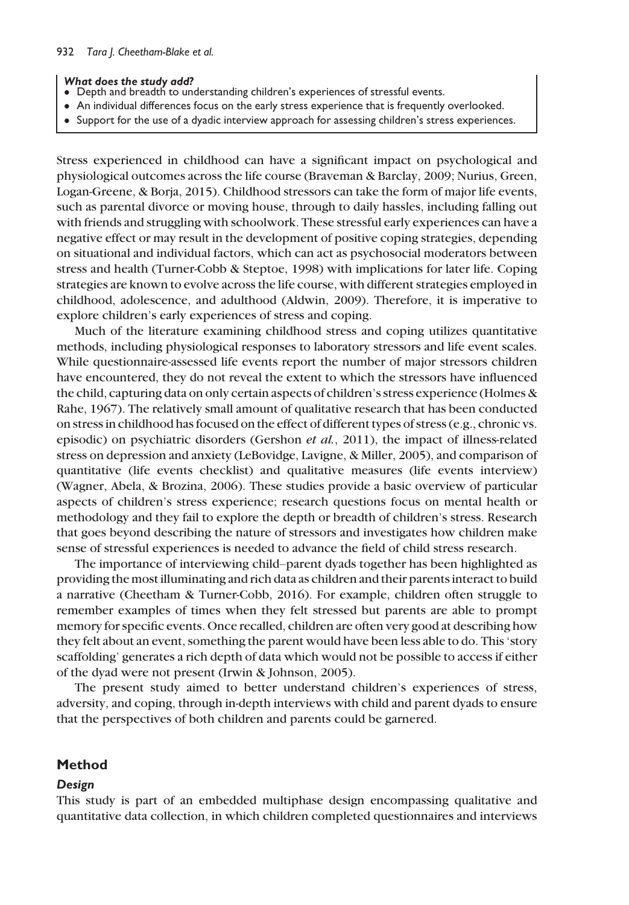#### What does the study add?

- Depth and breadth to understanding children's experiences of stressful events.
- An individual differences focus on the early stress experience that is frequently overlooked.
- Support for the use of a dyadic interview approach for assessing children's stress experiences.

Stress experienced in childhood can have a significant impact on psychological and physiological outcomes across the life course (Braveman & Barclay, 2009; Nurius, Green, Logan-Greene, & Borja, 2015). Childhood stressors can take the form of major life events, such as parental divorce or moving house, through to daily hassles, including falling out with friends and struggling with schoolwork. These stressful early experiences can have a negative effect or may result in the development of positive coping strategies, depending on situational and individual factors, which can act as psychosocial moderators between stress and health (Turner-Cobb & Steptoe, 1998) with implications for later life. Coping strategies are known to evolve across the life course, with different strategies employed in childhood, adolescence, and adulthood (Aldwin, 2009). Therefore, it is imperative to explore children's early experiences of stress and coping.

Much of the literature examining childhood stress and coping utilizes quantitative methods, including physiological responses to laboratory stressors and life event scales. While questionnaire-assessed life events report the number of major stressors children have encountered, they do not reveal the extent to which the stressors have influenced the child, capturing data on only certain aspects of children's stress experience (Holmes & Rahe, 1967). The relatively small amount of qualitative research that has been conducted on stress in childhood has focused on the effect of different types of stress (e.g., chronic vs. episodic) on psychiatric disorders (Gershon et al., 2011), the impact of illness-related stress on depression and anxiety (LeBovidge, Lavigne, & Miller, 2005), and comparison of quantitative (life events checklist) and qualitative measures (life events interview) (Wagner, Abela, & Brozina, 2006). These studies provide a basic overview of particular aspects of children's stress experience; research questions focus on mental health or methodology and they fail to explore the depth or breadth of children's stress. Research that goes beyond describing the nature of stressors and investigates how children make sense of stressful experiences is needed to advance the field of child stress research.

The importance of interviewing child–parent dyads together has been highlighted as providing the most illuminating and rich data as children and their parents interact to build a narrative (Cheetham & Turner-Cobb, 2016). For example, children often struggle to remember examples of times when they felt stressed but parents are able to prompt memory for specific events. Once recalled, children are often very good at describing how they felt about an event, something the parent would have been less able to do. This 'story scaffolding' generates a rich depth of data which would not be possible to access if either of the dyad were not present (Irwin & Johnson, 2005).

The present study aimed to better understand children's experiences of stress, adversity, and coping, through in-depth interviews with child and parent dyads to ensure that the perspectives of both children and parents could be garnered.

## Method

#### Design

This study is part of an embedded multiphase design encompassing qualitative and quantitative data collection, in which children completed questionnaires and interviews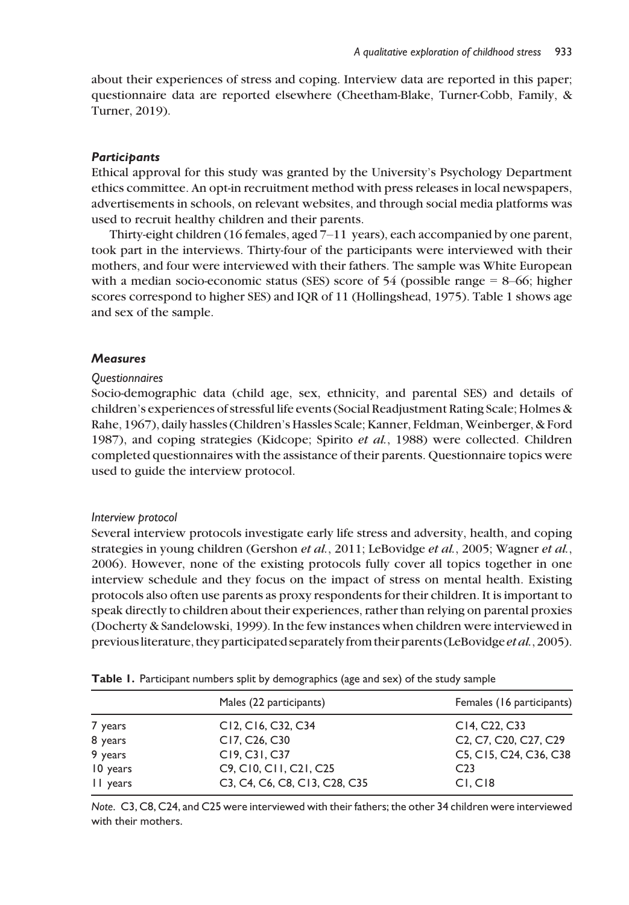about their experiences of stress and coping. Interview data are reported in this paper; questionnaire data are reported elsewhere (Cheetham-Blake, Turner-Cobb, Family, & Turner, 2019).

## **Participants**

Ethical approval for this study was granted by the University's Psychology Department ethics committee. An opt-in recruitment method with press releases in local newspapers, advertisements in schools, on relevant websites, and through social media platforms was used to recruit healthy children and their parents.

Thirty-eight children (16 females, aged 7–11 years), each accompanied by one parent, took part in the interviews. Thirty-four of the participants were interviewed with their mothers, and four were interviewed with their fathers. The sample was White European with a median socio-economic status (SES) score of 54 (possible range = 8–66; higher scores correspond to higher SES) and IQR of 11 (Hollingshead, 1975). Table 1 shows age and sex of the sample.

## **Measures**

## **Questionnaires**

Socio-demographic data (child age, sex, ethnicity, and parental SES) and details of children's experiences of stressful life events (Social Readjustment Rating Scale; Holmes & Rahe, 1967), daily hassles (Children's Hassles Scale; Kanner, Feldman, Weinberger, & Ford 1987), and coping strategies (Kidcope; Spirito et al., 1988) were collected. Children completed questionnaires with the assistance of their parents. Questionnaire topics were used to guide the interview protocol.

## Interview protocol

Several interview protocols investigate early life stress and adversity, health, and coping strategies in young children (Gershon et al., 2011; LeBovidge et al., 2005; Wagner et al., 2006). However, none of the existing protocols fully cover all topics together in one interview schedule and they focus on the impact of stress on mental health. Existing protocols also often use parents as proxy respondents for their children. It is important to speak directly to children about their experiences, rather than relying on parental proxies (Docherty & Sandelowski, 1999). In the few instances when children were interviewed in previous literature, they participated separately from their parents (LeBovidge *et al.*, 2005).

|          | Males (22 participants)                                               | Females (16 participants)                                                             |
|----------|-----------------------------------------------------------------------|---------------------------------------------------------------------------------------|
| 7 years  | C <sub>12</sub> , C <sub>16</sub> , C <sub>32</sub> , C <sub>34</sub> | C14, C22, C33                                                                         |
| 8 years  | C17, C <sub>26</sub> , C <sub>30</sub>                                | C <sub>2</sub> , C <sub>7</sub> , C <sub>20</sub> , C <sub>27</sub> , C <sub>29</sub> |
| 9 years  | C19, C31, C37                                                         | C5, C15, C24, C36, C38                                                                |
| 10 years | C9, C10, C11, C21, C25                                                | C <sub>23</sub>                                                                       |
| II years | C3, C4, C6, C8, C13, C28, C35                                         | CI, C18                                                                               |
|          |                                                                       |                                                                                       |

Table 1. Participant numbers split by demographics (age and sex) of the study sample

Note. C3, C8, C24, and C25 were interviewed with their fathers; the other 34 children were interviewed with their mothers.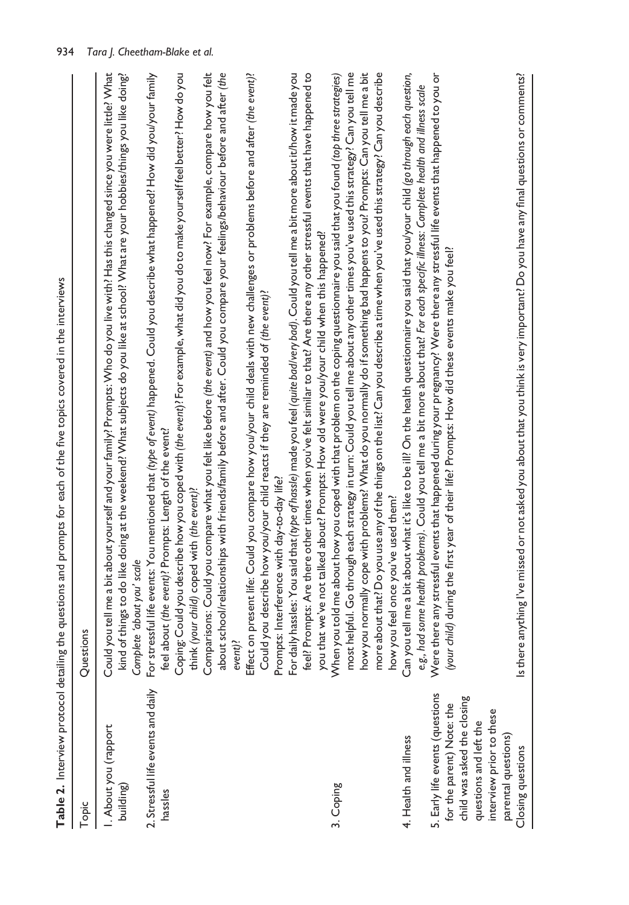| l               |
|-----------------|
|                 |
|                 |
| ļ               |
|                 |
| l               |
| ś               |
|                 |
|                 |
| Ì               |
|                 |
|                 |
|                 |
|                 |
| ś               |
|                 |
| ś               |
|                 |
| l               |
|                 |
| ֚֡֡֡֡<br>l<br>l |
| i               |
| ï               |
|                 |
| ļ               |
|                 |
| ١               |
| í               |
| l               |
| į<br>ׇ֚֓֡<br>ı  |
| ś<br>i<br>ī     |
|                 |
| ţ<br>ï          |
|                 |
| $\overline{ }$  |
|                 |
|                 |
| ï               |
|                 |
|                 |
|                 |
|                 |
|                 |
| I               |
| Ì               |
|                 |
|                 |
| $\overline{a}$  |
| l               |
|                 |
| i               |
| ֚֬              |
|                 |
| j               |
|                 |
| $\mathbf{C}$    |
|                 |
| $\frac{1}{2}$   |
|                 |
| I               |

| Topic                                                                                                                 | Questions                                                                                                                                                                                                                                                                                                                                                                                                                                                                                                                                                                             |
|-----------------------------------------------------------------------------------------------------------------------|---------------------------------------------------------------------------------------------------------------------------------------------------------------------------------------------------------------------------------------------------------------------------------------------------------------------------------------------------------------------------------------------------------------------------------------------------------------------------------------------------------------------------------------------------------------------------------------|
| I. About you (rapport<br>building)                                                                                    | Could you tell me a bit about yourself and your family? Prompts: Who do you live with? Has this changed since you were little? What<br>kind of things to do like doing at the weekend? What subjects do you like at school? What are your hobbies/things you like doing?<br>Complete 'about you' scale                                                                                                                                                                                                                                                                                |
| 2. Stressful life events and daily<br>hassles                                                                         | sful life events: You mentioned that (type of event) happened. Could you describe what happened? How did you/your family<br>feel about (the event)? Prompts: Length of the event?<br>For stres                                                                                                                                                                                                                                                                                                                                                                                        |
|                                                                                                                       | Coping: Could you describe how you coped with (the event)? For example, what did you do to make yourself feel better? How do you<br>about school/relationships with friends/family before and after. Could you compare your feelings/behaviour before and after (the<br>Comparisons: Could you compare what you felt like before (the event) and how you feel now? For example, compare how you felt<br>think (your child) coped with (the event)?<br>event)?                                                                                                                         |
|                                                                                                                       | present life: Could you compare how you/your child deals with new challenges or problems before and after <i>(the event)?</i><br>Could you describe how you/your child reacts if they are reminded of (the event)?<br>Prompts: Interference with day-to-day life?<br>Effect on                                                                                                                                                                                                                                                                                                        |
|                                                                                                                       | feel? Prompts: Are there other times when you've felt similar to that? Are there any other stressful events that have happened to<br>hassles: You said that (type of hassle) made you feel (quite bad/very bad). Could you tell me a bit more about it/how it made you<br>you that we've not talked about? Prompts: How old were you/your child when this happened?<br>For daily                                                                                                                                                                                                      |
| 3. Coping                                                                                                             | how you normally cope with problems? What do you normally do if something bad happens to you? Prompts: Can you tell me a bit<br>more about that? Do you use any of the things on the list? Can you describe a time when you've used this strategy? Can you describe<br>most helpful. Go through each strategy in turn: Could you tell me about any other times you've used this strategy? Can you tell me<br>When you told me about how you coped with that problem on the coping questionnaire you said that you found (top three strategies)<br>how you feel once you've used them? |
| 4. Health and illness                                                                                                 | Can you tell me a bit about what it's like to be ill? On the health questionnaire you said that you/your child (go through each question,<br>some health problems). Could you tell me a bit more about that? For each specific illness: Complete health and illness scale<br>e.g., haa                                                                                                                                                                                                                                                                                                |
| 5. Early life events (questions<br>child was asked the closing<br>for the parent) Note: the<br>questions and left the | Were there any stressful events that happened during your pregnancy? Were there any stressful life events that happened to you or<br>(your child) during the first year of their life? Prompts: How did these events make you feel?                                                                                                                                                                                                                                                                                                                                                   |
| interview prior to these<br>parental questions)<br>Closing questions                                                  | Is there anything I've missed or not asked you about that you think is very important? Do you have any final questions or comments?                                                                                                                                                                                                                                                                                                                                                                                                                                                   |
|                                                                                                                       |                                                                                                                                                                                                                                                                                                                                                                                                                                                                                                                                                                                       |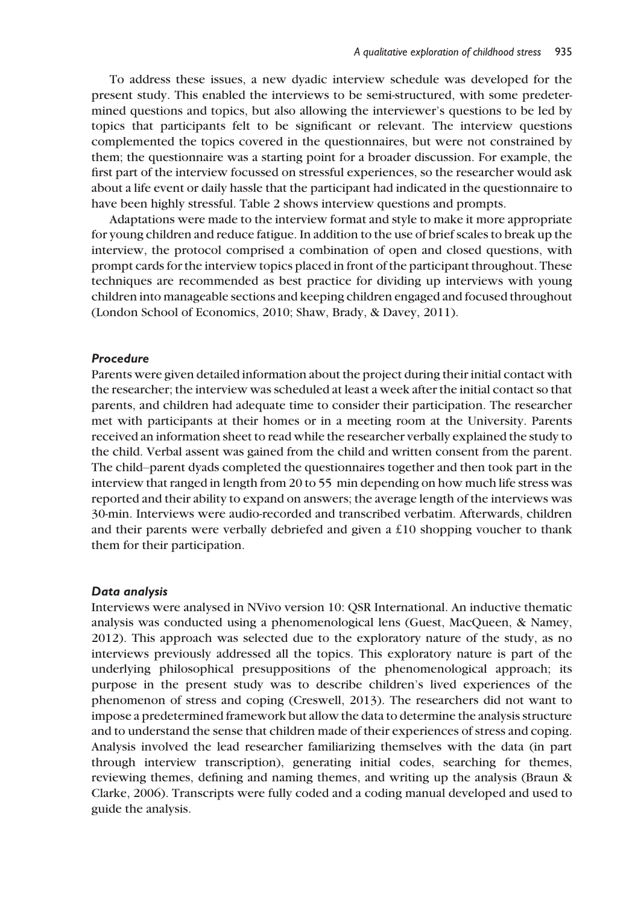To address these issues, a new dyadic interview schedule was developed for the present study. This enabled the interviews to be semi-structured, with some predetermined questions and topics, but also allowing the interviewer's questions to be led by topics that participants felt to be significant or relevant. The interview questions complemented the topics covered in the questionnaires, but were not constrained by them; the questionnaire was a starting point for a broader discussion. For example, the first part of the interview focussed on stressful experiences, so the researcher would ask about a life event or daily hassle that the participant had indicated in the questionnaire to have been highly stressful. Table 2 shows interview questions and prompts.

Adaptations were made to the interview format and style to make it more appropriate for young children and reduce fatigue. In addition to the use of brief scales to break up the interview, the protocol comprised a combination of open and closed questions, with prompt cards for the interview topics placed in front of the participant throughout. These techniques are recommended as best practice for dividing up interviews with young children into manageable sections and keeping children engaged and focused throughout (London School of Economics, 2010; Shaw, Brady, & Davey, 2011).

## Procedure

Parents were given detailed information about the project during their initial contact with the researcher; the interview was scheduled at least a week after the initial contact so that parents, and children had adequate time to consider their participation. The researcher met with participants at their homes or in a meeting room at the University. Parents received an information sheet to read while the researcher verbally explained the study to the child. Verbal assent was gained from the child and written consent from the parent. The child–parent dyads completed the questionnaires together and then took part in the interview that ranged in length from 20 to 55 min depending on how much life stress was reported and their ability to expand on answers; the average length of the interviews was 30-min. Interviews were audio-recorded and transcribed verbatim. Afterwards, children and their parents were verbally debriefed and given a £10 shopping voucher to thank them for their participation.

#### Data analysis

Interviews were analysed in NVivo version 10: QSR International. An inductive thematic analysis was conducted using a phenomenological lens (Guest, MacQueen, & Namey, 2012). This approach was selected due to the exploratory nature of the study, as no interviews previously addressed all the topics. This exploratory nature is part of the underlying philosophical presuppositions of the phenomenological approach; its purpose in the present study was to describe children's lived experiences of the phenomenon of stress and coping (Creswell, 2013). The researchers did not want to impose a predetermined framework but allow the data to determine the analysis structure and to understand the sense that children made of their experiences of stress and coping. Analysis involved the lead researcher familiarizing themselves with the data (in part through interview transcription), generating initial codes, searching for themes, reviewing themes, defining and naming themes, and writing up the analysis (Braun & Clarke, 2006). Transcripts were fully coded and a coding manual developed and used to guide the analysis.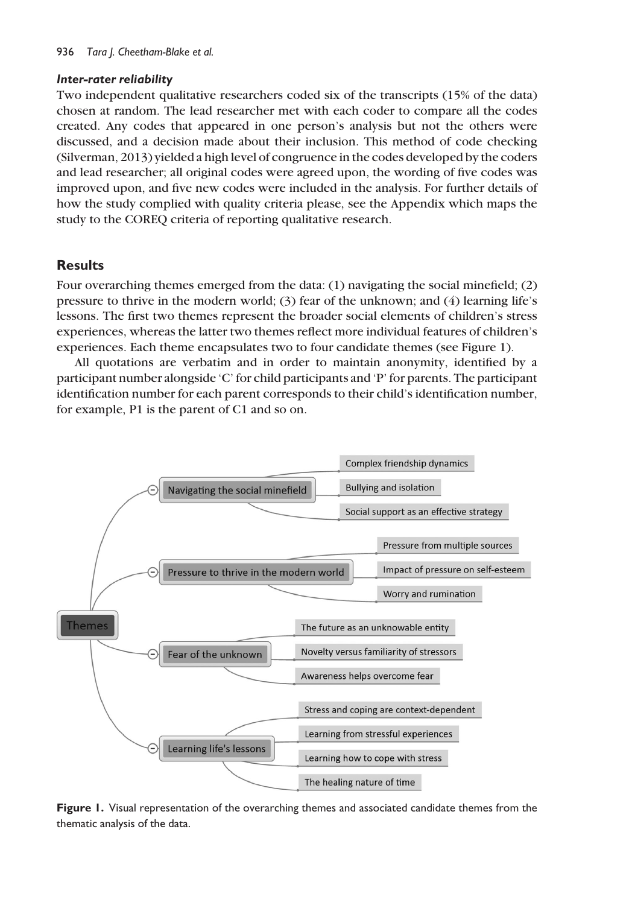## Inter-rater reliability

Two independent qualitative researchers coded six of the transcripts (15% of the data) chosen at random. The lead researcher met with each coder to compare all the codes created. Any codes that appeared in one person's analysis but not the others were discussed, and a decision made about their inclusion. This method of code checking (Silverman, 2013) yielded a high level of congruence in the codes developed by the coders and lead researcher; all original codes were agreed upon, the wording of five codes was improved upon, and five new codes were included in the analysis. For further details of how the study complied with quality criteria please, see the Appendix which maps the study to the COREQ criteria of reporting qualitative research.

# Results

Four overarching themes emerged from the data: (1) navigating the social minefield; (2) pressure to thrive in the modern world; (3) fear of the unknown; and (4) learning life's lessons. The first two themes represent the broader social elements of children's stress experiences, whereas the latter two themes reflect more individual features of children's experiences. Each theme encapsulates two to four candidate themes (see Figure 1).

All quotations are verbatim and in order to maintain anonymity, identified by a participant number alongside 'C' for child participants and 'P' for parents. The participant identification number for each parent corresponds to their child's identification number, for example, P1 is the parent of C1 and so on.



Figure 1. Visual representation of the overarching themes and associated candidate themes from the thematic analysis of the data.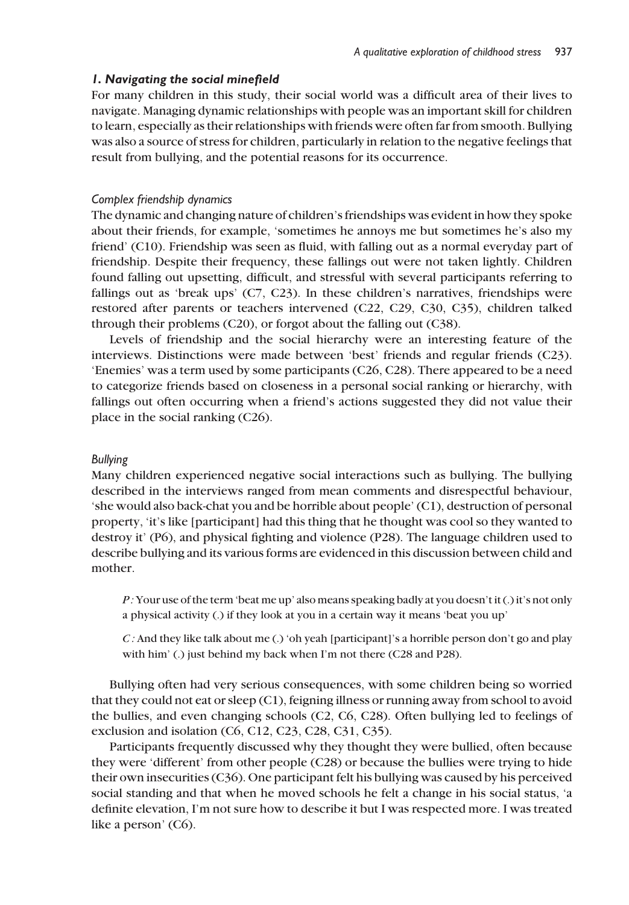## 1. Navigating the social minefield

For many children in this study, their social world was a difficult area of their lives to navigate. Managing dynamic relationships with people was an important skill for children to learn, especially as their relationships with friends were often far from smooth. Bullying was also a source of stress for children, particularly in relation to the negative feelings that result from bullying, and the potential reasons for its occurrence.

#### Complex friendship dynamics

The dynamic and changing nature of children's friendships was evident in how they spoke about their friends, for example, 'sometimes he annoys me but sometimes he's also my friend' (C10). Friendship was seen as fluid, with falling out as a normal everyday part of friendship. Despite their frequency, these fallings out were not taken lightly. Children found falling out upsetting, difficult, and stressful with several participants referring to fallings out as 'break ups' (C7, C23). In these children's narratives, friendships were restored after parents or teachers intervened (C22, C29, C30, C35), children talked through their problems (C20), or forgot about the falling out (C38).

Levels of friendship and the social hierarchy were an interesting feature of the interviews. Distinctions were made between 'best' friends and regular friends (C23). 'Enemies' was a term used by some participants (C26, C28). There appeared to be a need to categorize friends based on closeness in a personal social ranking or hierarchy, with fallings out often occurring when a friend's actions suggested they did not value their place in the social ranking (C26).

#### Bullying

Many children experienced negative social interactions such as bullying. The bullying described in the interviews ranged from mean comments and disrespectful behaviour, 'she would also back-chat you and be horrible about people' (C1), destruction of personal property, 'it's like [participant] had this thing that he thought was cool so they wanted to destroy it' (P6), and physical fighting and violence (P28). The language children used to describe bullying and its various forms are evidenced in this discussion between child and mother.

P : Your use of the term 'beat me up' also means speaking badly at you doesn't it (.) it's not only a physical activity (.) if they look at you in a certain way it means 'beat you up'

C : And they like talk about me (.) 'oh yeah [participant]'s a horrible person don't go and play with him' (.) just behind my back when I'm not there (C28 and P28).

Bullying often had very serious consequences, with some children being so worried that they could not eat or sleep (C1), feigning illness or running away from school to avoid the bullies, and even changing schools (C2, C6, C28). Often bullying led to feelings of exclusion and isolation (C6, C12, C23, C28, C31, C35).

Participants frequently discussed why they thought they were bullied, often because they were 'different' from other people (C28) or because the bullies were trying to hide their own insecurities (C36). One participant felt his bullying was caused by his perceived social standing and that when he moved schools he felt a change in his social status, 'a definite elevation, I'm not sure how to describe it but I was respected more. I was treated like a person' (C6).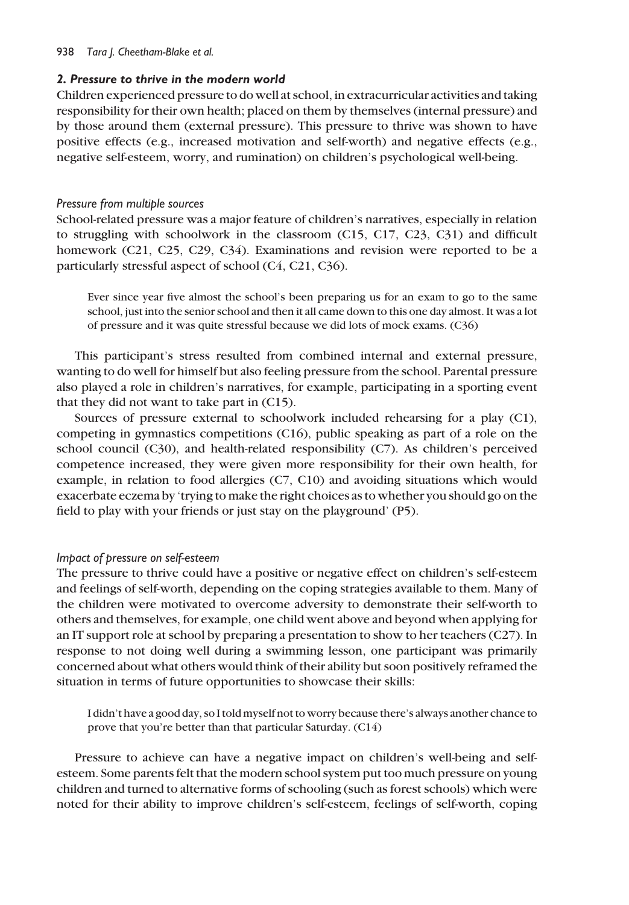#### 938 Tara J. Cheetham-Blake et al.

## 2. Pressure to thrive in the modern world

Children experienced pressure to do well at school, in extracurricular activities and taking responsibility for their own health; placed on them by themselves (internal pressure) and by those around them (external pressure). This pressure to thrive was shown to have positive effects (e.g., increased motivation and self-worth) and negative effects (e.g., negative self-esteem, worry, and rumination) on children's psychological well-being.

## Pressure from multiple sources

School-related pressure was a major feature of children's narratives, especially in relation to struggling with schoolwork in the classroom (C15, C17, C23, C31) and difficult homework (C21, C25, C29, C34). Examinations and revision were reported to be a particularly stressful aspect of school (C4, C21, C36).

Ever since year five almost the school's been preparing us for an exam to go to the same school, just into the senior school and then it all came down to this one day almost. It was a lot of pressure and it was quite stressful because we did lots of mock exams. (C36)

This participant's stress resulted from combined internal and external pressure, wanting to do well for himself but also feeling pressure from the school. Parental pressure also played a role in children's narratives, for example, participating in a sporting event that they did not want to take part in (C15).

Sources of pressure external to schoolwork included rehearsing for a play (C1), competing in gymnastics competitions (C16), public speaking as part of a role on the school council (C30), and health-related responsibility (C7). As children's perceived competence increased, they were given more responsibility for their own health, for example, in relation to food allergies (C7, C10) and avoiding situations which would exacerbate eczema by 'trying to make the right choices as to whether you should go on the field to play with your friends or just stay on the playground' (P5).

## Impact of pressure on self-esteem

The pressure to thrive could have a positive or negative effect on children's self-esteem and feelings of self-worth, depending on the coping strategies available to them. Many of the children were motivated to overcome adversity to demonstrate their self-worth to others and themselves, for example, one child went above and beyond when applying for an IT support role at school by preparing a presentation to show to her teachers (C27). In response to not doing well during a swimming lesson, one participant was primarily concerned about what others would think of their ability but soon positively reframed the situation in terms of future opportunities to showcase their skills:

I didn't have a good day, so I told myself not to worry because there's always another chance to prove that you're better than that particular Saturday. (C14)

Pressure to achieve can have a negative impact on children's well-being and selfesteem. Some parents felt that the modern school system put too much pressure on young children and turned to alternative forms of schooling (such as forest schools) which were noted for their ability to improve children's self-esteem, feelings of self-worth, coping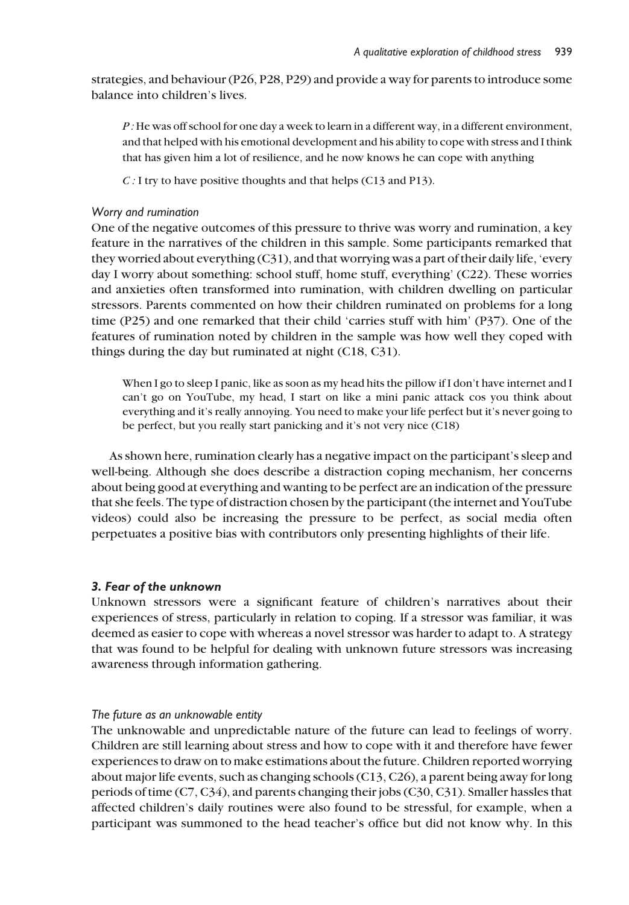strategies, and behaviour (P26, P28, P29) and provide a way for parents to introduce some balance into children's lives.

P : He was off school for one day a week to learn in a different way, in a different environment, and that helped with his emotional development and his ability to cope with stress and I think that has given him a lot of resilience, and he now knows he can cope with anything

C : I try to have positive thoughts and that helps (C13 and P13).

#### Worry and rumination

One of the negative outcomes of this pressure to thrive was worry and rumination, a key feature in the narratives of the children in this sample. Some participants remarked that they worried about everything (C31), and that worrying was a part of their daily life, 'every day I worry about something: school stuff, home stuff, everything' (C22). These worries and anxieties often transformed into rumination, with children dwelling on particular stressors. Parents commented on how their children ruminated on problems for a long time (P25) and one remarked that their child 'carries stuff with him' (P37). One of the features of rumination noted by children in the sample was how well they coped with things during the day but ruminated at night (C18, C31).

When I go to sleep I panic, like as soon as my head hits the pillow if I don't have internet and I can't go on YouTube, my head, I start on like a mini panic attack cos you think about everything and it's really annoying. You need to make your life perfect but it's never going to be perfect, but you really start panicking and it's not very nice (C18)

As shown here, rumination clearly has a negative impact on the participant's sleep and well-being. Although she does describe a distraction coping mechanism, her concerns about being good at everything and wanting to be perfect are an indication of the pressure that she feels. The type of distraction chosen by the participant (the internet and YouTube videos) could also be increasing the pressure to be perfect, as social media often perpetuates a positive bias with contributors only presenting highlights of their life.

## 3. Fear of the unknown

Unknown stressors were a significant feature of children's narratives about their experiences of stress, particularly in relation to coping. If a stressor was familiar, it was deemed as easier to cope with whereas a novel stressor was harder to adapt to. A strategy that was found to be helpful for dealing with unknown future stressors was increasing awareness through information gathering.

## The future as an unknowable entity

The unknowable and unpredictable nature of the future can lead to feelings of worry. Children are still learning about stress and how to cope with it and therefore have fewer experiences to draw on to make estimations about the future. Children reported worrying about major life events, such as changing schools (C13, C26), a parent being away for long periods of time (C7, C34), and parents changing their jobs (C30, C31). Smaller hassles that affected children's daily routines were also found to be stressful, for example, when a participant was summoned to the head teacher's office but did not know why. In this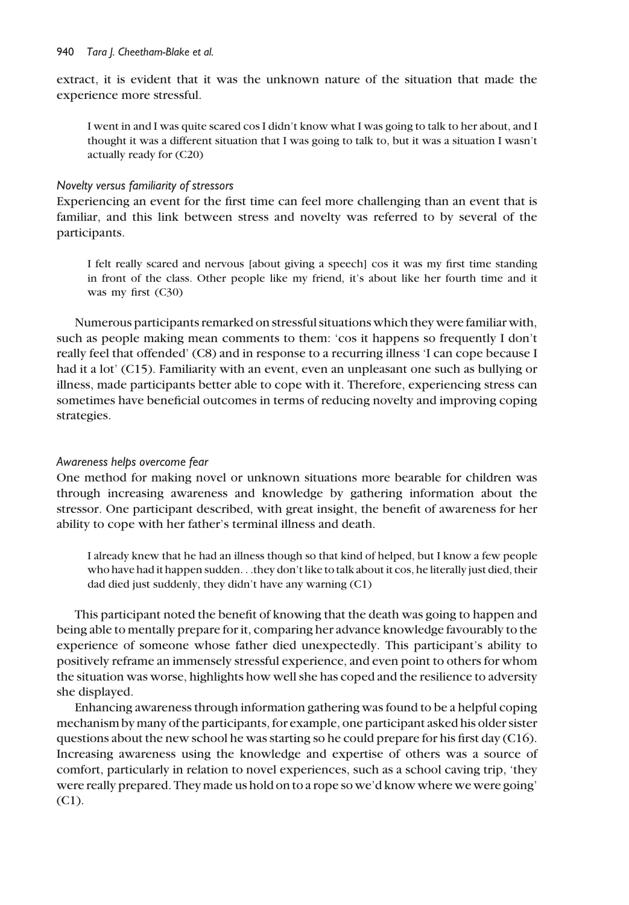extract, it is evident that it was the unknown nature of the situation that made the experience more stressful.

I went in and I was quite scared cos I didn't know what I was going to talk to her about, and I thought it was a different situation that I was going to talk to, but it was a situation I wasn't actually ready for (C20)

## Novelty versus familiarity of stressors

Experiencing an event for the first time can feel more challenging than an event that is familiar, and this link between stress and novelty was referred to by several of the participants.

I felt really scared and nervous [about giving a speech] cos it was my first time standing in front of the class. Other people like my friend, it's about like her fourth time and it was my first (C30)

Numerous participants remarked on stressful situations which they were familiar with, such as people making mean comments to them: 'cos it happens so frequently I don't really feel that offended' (C8) and in response to a recurring illness 'I can cope because I had it a lot' (C15). Familiarity with an event, even an unpleasant one such as bullying or illness, made participants better able to cope with it. Therefore, experiencing stress can sometimes have beneficial outcomes in terms of reducing novelty and improving coping strategies.

## Awareness helps overcome fear

One method for making novel or unknown situations more bearable for children was through increasing awareness and knowledge by gathering information about the stressor. One participant described, with great insight, the benefit of awareness for her ability to cope with her father's terminal illness and death.

I already knew that he had an illness though so that kind of helped, but I know a few people who have had it happen sudden...they don't like to talk about it cos, he literally just died, their dad died just suddenly, they didn't have any warning (C1)

This participant noted the benefit of knowing that the death was going to happen and being able to mentally prepare for it, comparing her advance knowledge favourably to the experience of someone whose father died unexpectedly. This participant's ability to positively reframe an immensely stressful experience, and even point to others for whom the situation was worse, highlights how well she has coped and the resilience to adversity she displayed.

Enhancing awareness through information gathering was found to be a helpful coping mechanism by many of the participants, for example, one participant asked his older sister questions about the new school he was starting so he could prepare for his first day (C16). Increasing awareness using the knowledge and expertise of others was a source of comfort, particularly in relation to novel experiences, such as a school caving trip, 'they were really prepared. They made us hold on to a rope so we'd know where we were going' (C1).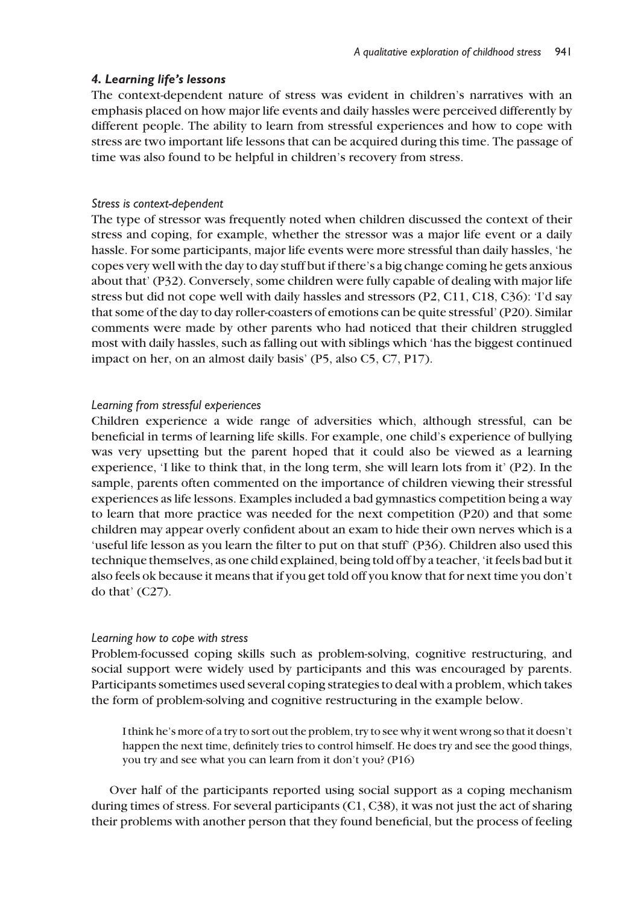## 4. Learning life's lessons

The context-dependent nature of stress was evident in children's narratives with an emphasis placed on how major life events and daily hassles were perceived differently by different people. The ability to learn from stressful experiences and how to cope with stress are two important life lessons that can be acquired during this time. The passage of time was also found to be helpful in children's recovery from stress.

## Stress is context-dependent

The type of stressor was frequently noted when children discussed the context of their stress and coping, for example, whether the stressor was a major life event or a daily hassle. For some participants, major life events were more stressful than daily hassles, 'he copes very well with the day to day stuff but if there's a big change coming he gets anxious about that' (P32). Conversely, some children were fully capable of dealing with major life stress but did not cope well with daily hassles and stressors (P2, C11, C18, C36): 'I'd say that some of the day to day roller-coasters of emotions can be quite stressful' (P20). Similar comments were made by other parents who had noticed that their children struggled most with daily hassles, such as falling out with siblings which 'has the biggest continued impact on her, on an almost daily basis' (P5, also C5, C7, P17).

# Learning from stressful experiences

Children experience a wide range of adversities which, although stressful, can be beneficial in terms of learning life skills. For example, one child's experience of bullying was very upsetting but the parent hoped that it could also be viewed as a learning experience, 'I like to think that, in the long term, she will learn lots from it' (P2). In the sample, parents often commented on the importance of children viewing their stressful experiences as life lessons. Examples included a bad gymnastics competition being a way to learn that more practice was needed for the next competition (P20) and that some children may appear overly confident about an exam to hide their own nerves which is a 'useful life lesson as you learn the filter to put on that stuff' (P36). Children also used this technique themselves, as one child explained, being told off by a teacher, 'it feels bad but it also feels ok because it means that if you get told off you know that for next time you don't do that' (C27).

## Learning how to cope with stress

Problem-focussed coping skills such as problem-solving, cognitive restructuring, and social support were widely used by participants and this was encouraged by parents. Participants sometimes used several coping strategies to deal with a problem, which takes the form of problem-solving and cognitive restructuring in the example below.

I think he's more of a try to sort out the problem, try to see why it went wrong so that it doesn't happen the next time, definitely tries to control himself. He does try and see the good things, you try and see what you can learn from it don't you? (P16)

Over half of the participants reported using social support as a coping mechanism during times of stress. For several participants (C1, C38), it was not just the act of sharing their problems with another person that they found beneficial, but the process of feeling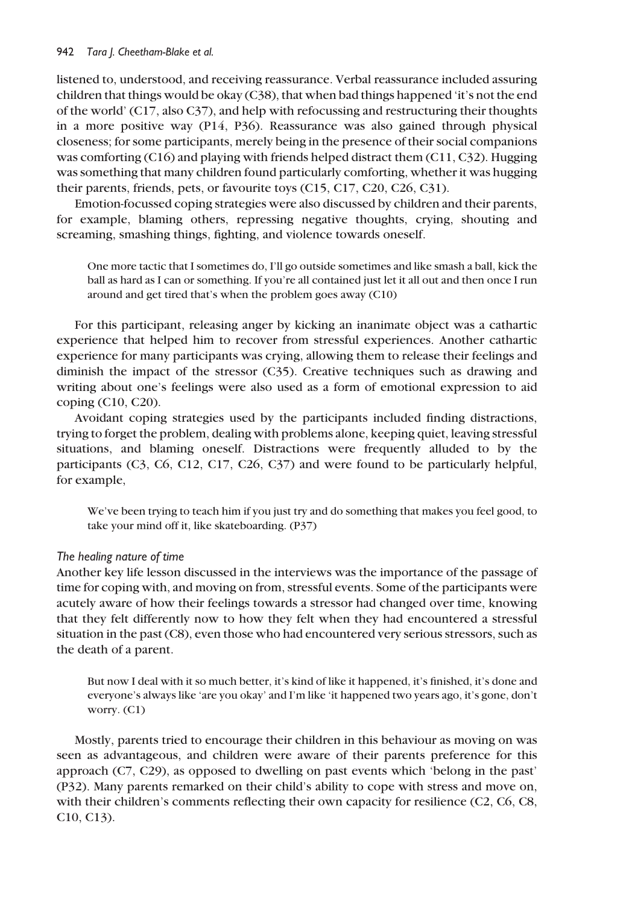listened to, understood, and receiving reassurance. Verbal reassurance included assuring children that things would be okay (C38), that when bad things happened 'it's not the end of the world' (C17, also C37), and help with refocussing and restructuring their thoughts in a more positive way (P14, P36). Reassurance was also gained through physical closeness; for some participants, merely being in the presence of their social companions was comforting (C16) and playing with friends helped distract them (C11, C32). Hugging was something that many children found particularly comforting, whether it was hugging their parents, friends, pets, or favourite toys (C15, C17, C20, C26, C31).

Emotion-focussed coping strategies were also discussed by children and their parents, for example, blaming others, repressing negative thoughts, crying, shouting and screaming, smashing things, fighting, and violence towards oneself.

One more tactic that I sometimes do, I'll go outside sometimes and like smash a ball, kick the ball as hard as I can or something. If you're all contained just let it all out and then once I run around and get tired that's when the problem goes away (C10)

For this participant, releasing anger by kicking an inanimate object was a cathartic experience that helped him to recover from stressful experiences. Another cathartic experience for many participants was crying, allowing them to release their feelings and diminish the impact of the stressor (C35). Creative techniques such as drawing and writing about one's feelings were also used as a form of emotional expression to aid coping (C10, C20).

Avoidant coping strategies used by the participants included finding distractions, trying to forget the problem, dealing with problems alone, keeping quiet, leaving stressful situations, and blaming oneself. Distractions were frequently alluded to by the participants (C3, C6, C12, C17, C26, C37) and were found to be particularly helpful, for example,

We've been trying to teach him if you just try and do something that makes you feel good, to take your mind off it, like skateboarding. (P37)

# The healing nature of time

Another key life lesson discussed in the interviews was the importance of the passage of time for coping with, and moving on from, stressful events. Some of the participants were acutely aware of how their feelings towards a stressor had changed over time, knowing that they felt differently now to how they felt when they had encountered a stressful situation in the past (C8), even those who had encountered very serious stressors, such as the death of a parent.

But now I deal with it so much better, it's kind of like it happened, it's finished, it's done and everyone's always like 'are you okay' and I'm like 'it happened two years ago, it's gone, don't worry. (C1)

Mostly, parents tried to encourage their children in this behaviour as moving on was seen as advantageous, and children were aware of their parents preference for this approach (C7, C29), as opposed to dwelling on past events which 'belong in the past' (P32). Many parents remarked on their child's ability to cope with stress and move on, with their children's comments reflecting their own capacity for resilience (C2, C6, C8, C10, C13).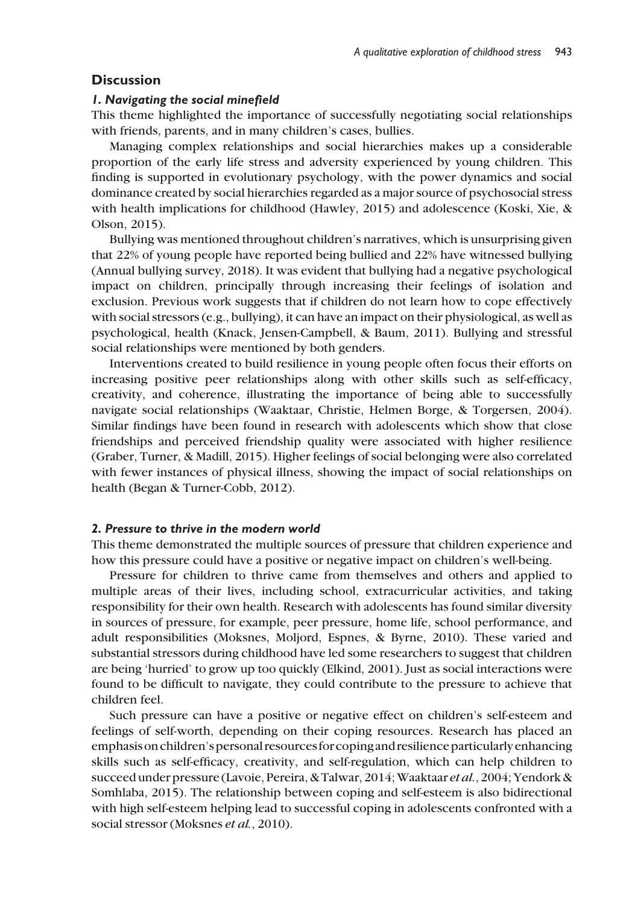# **Discussion**

#### 1. Navigating the social minefield

This theme highlighted the importance of successfully negotiating social relationships with friends, parents, and in many children's cases, bullies.

Managing complex relationships and social hierarchies makes up a considerable proportion of the early life stress and adversity experienced by young children. This finding is supported in evolutionary psychology, with the power dynamics and social dominance created by social hierarchies regarded as a major source of psychosocial stress with health implications for childhood (Hawley, 2015) and adolescence (Koski, Xie, & Olson, 2015).

Bullying was mentioned throughout children's narratives, which is unsurprising given that 22% of young people have reported being bullied and 22% have witnessed bullying (Annual bullying survey, 2018). It was evident that bullying had a negative psychological impact on children, principally through increasing their feelings of isolation and exclusion. Previous work suggests that if children do not learn how to cope effectively with social stressors (e.g., bullying), it can have an impact on their physiological, as well as psychological, health (Knack, Jensen-Campbell, & Baum, 2011). Bullying and stressful social relationships were mentioned by both genders.

Interventions created to build resilience in young people often focus their efforts on increasing positive peer relationships along with other skills such as self-efficacy, creativity, and coherence, illustrating the importance of being able to successfully navigate social relationships (Waaktaar, Christie, Helmen Borge, & Torgersen, 2004). Similar findings have been found in research with adolescents which show that close friendships and perceived friendship quality were associated with higher resilience (Graber, Turner, & Madill, 2015). Higher feelings of social belonging were also correlated with fewer instances of physical illness, showing the impact of social relationships on health (Began & Turner-Cobb, 2012).

#### 2. Pressure to thrive in the modern world

This theme demonstrated the multiple sources of pressure that children experience and how this pressure could have a positive or negative impact on children's well-being.

Pressure for children to thrive came from themselves and others and applied to multiple areas of their lives, including school, extracurricular activities, and taking responsibility for their own health. Research with adolescents has found similar diversity in sources of pressure, for example, peer pressure, home life, school performance, and adult responsibilities (Moksnes, Moljord, Espnes, & Byrne, 2010). These varied and substantial stressors during childhood have led some researchers to suggest that children are being 'hurried' to grow up too quickly (Elkind, 2001). Just as social interactions were found to be difficult to navigate, they could contribute to the pressure to achieve that children feel.

Such pressure can have a positive or negative effect on children's self-esteem and feelings of self-worth, depending on their coping resources. Research has placed an emphasis on children's personal resources for coping and resilience particularly enhancing skills such as self-efficacy, creativity, and self-regulation, which can help children to succeed under pressure (Lavoie, Pereira, & Talwar, 2014; Waaktaar et al., 2004; Yendork & Somhlaba, 2015). The relationship between coping and self-esteem is also bidirectional with high self-esteem helping lead to successful coping in adolescents confronted with a social stressor (Moksnes et al., 2010).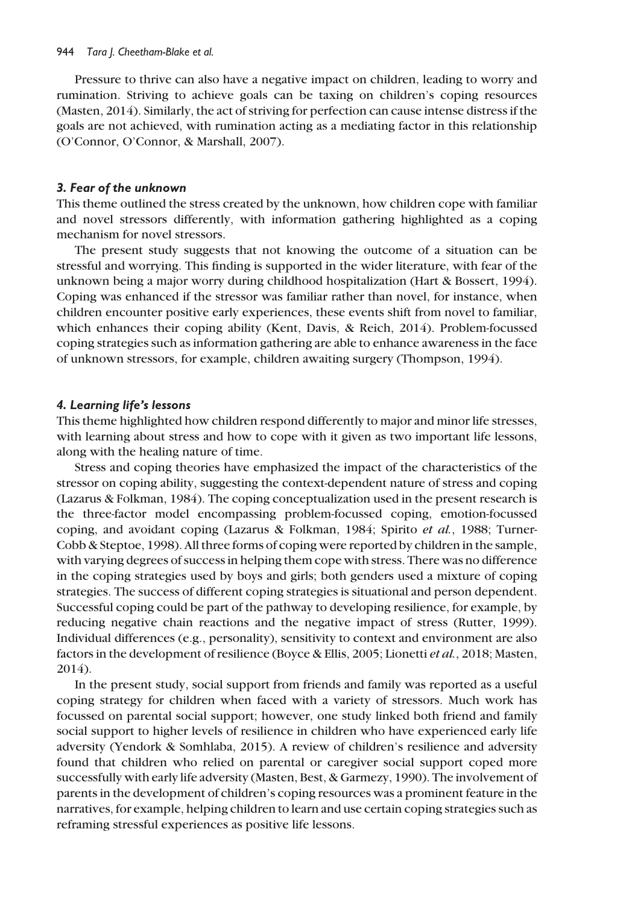Pressure to thrive can also have a negative impact on children, leading to worry and rumination. Striving to achieve goals can be taxing on children's coping resources (Masten, 2014). Similarly, the act of striving for perfection can cause intense distress if the goals are not achieved, with rumination acting as a mediating factor in this relationship (O'Connor, O'Connor, & Marshall, 2007).

#### 3. Fear of the unknown

This theme outlined the stress created by the unknown, how children cope with familiar and novel stressors differently, with information gathering highlighted as a coping mechanism for novel stressors.

The present study suggests that not knowing the outcome of a situation can be stressful and worrying. This finding is supported in the wider literature, with fear of the unknown being a major worry during childhood hospitalization (Hart & Bossert, 1994). Coping was enhanced if the stressor was familiar rather than novel, for instance, when children encounter positive early experiences, these events shift from novel to familiar, which enhances their coping ability (Kent, Davis, & Reich, 2014). Problem-focussed coping strategies such as information gathering are able to enhance awareness in the face of unknown stressors, for example, children awaiting surgery (Thompson, 1994).

#### 4. Learning life's lessons

This theme highlighted how children respond differently to major and minor life stresses, with learning about stress and how to cope with it given as two important life lessons, along with the healing nature of time.

Stress and coping theories have emphasized the impact of the characteristics of the stressor on coping ability, suggesting the context-dependent nature of stress and coping (Lazarus & Folkman, 1984). The coping conceptualization used in the present research is the three-factor model encompassing problem-focussed coping, emotion-focussed coping, and avoidant coping (Lazarus & Folkman, 1984; Spirito et al., 1988; Turner-Cobb & Steptoe, 1998). All three forms of coping were reported by children in the sample, with varying degrees of success in helping them cope with stress. There was no difference in the coping strategies used by boys and girls; both genders used a mixture of coping strategies. The success of different coping strategies is situational and person dependent. Successful coping could be part of the pathway to developing resilience, for example, by reducing negative chain reactions and the negative impact of stress (Rutter, 1999). Individual differences (e.g., personality), sensitivity to context and environment are also factors in the development of resilience (Boyce & Ellis, 2005; Lionetti et al., 2018; Masten, 2014).

In the present study, social support from friends and family was reported as a useful coping strategy for children when faced with a variety of stressors. Much work has focussed on parental social support; however, one study linked both friend and family social support to higher levels of resilience in children who have experienced early life adversity (Yendork & Somhlaba, 2015). A review of children's resilience and adversity found that children who relied on parental or caregiver social support coped more successfully with early life adversity (Masten, Best, & Garmezy, 1990). The involvement of parents in the development of children's coping resources was a prominent feature in the narratives, for example, helping children to learn and use certain coping strategies such as reframing stressful experiences as positive life lessons.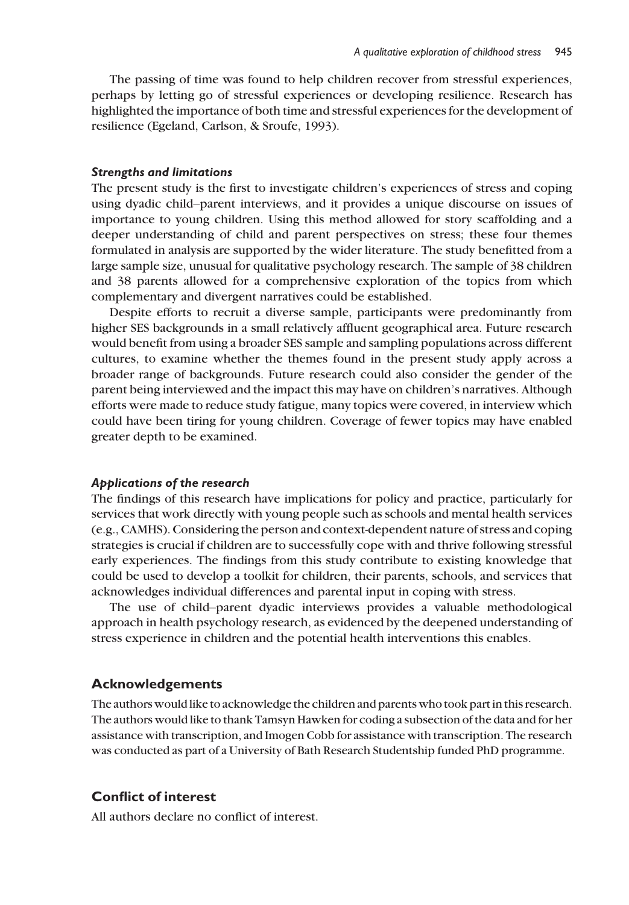The passing of time was found to help children recover from stressful experiences, perhaps by letting go of stressful experiences or developing resilience. Research has highlighted the importance of both time and stressful experiences for the development of resilience (Egeland, Carlson, & Sroufe, 1993).

#### Strengths and limitations

The present study is the first to investigate children's experiences of stress and coping using dyadic child–parent interviews, and it provides a unique discourse on issues of importance to young children. Using this method allowed for story scaffolding and a deeper understanding of child and parent perspectives on stress; these four themes formulated in analysis are supported by the wider literature. The study benefitted from a large sample size, unusual for qualitative psychology research. The sample of 38 children and 38 parents allowed for a comprehensive exploration of the topics from which complementary and divergent narratives could be established.

Despite efforts to recruit a diverse sample, participants were predominantly from higher SES backgrounds in a small relatively affluent geographical area. Future research would benefit from using a broader SES sample and sampling populations across different cultures, to examine whether the themes found in the present study apply across a broader range of backgrounds. Future research could also consider the gender of the parent being interviewed and the impact this may have on children's narratives. Although efforts were made to reduce study fatigue, many topics were covered, in interview which could have been tiring for young children. Coverage of fewer topics may have enabled greater depth to be examined.

#### Applications of the research

The findings of this research have implications for policy and practice, particularly for services that work directly with young people such as schools and mental health services (e.g., CAMHS). Considering the person and context-dependent nature of stress and coping strategies is crucial if children are to successfully cope with and thrive following stressful early experiences. The findings from this study contribute to existing knowledge that could be used to develop a toolkit for children, their parents, schools, and services that acknowledges individual differences and parental input in coping with stress.

The use of child–parent dyadic interviews provides a valuable methodological approach in health psychology research, as evidenced by the deepened understanding of stress experience in children and the potential health interventions this enables.

## Acknowledgements

The authors would like to acknowledge the children and parents who took part in this research. The authors would like to thank Tamsyn Hawken for coding a subsection of the data and for her assistance with transcription, and Imogen Cobb for assistance with transcription. The research was conducted as part of a University of Bath Research Studentship funded PhD programme.

# Conflict of interest

All authors declare no conflict of interest.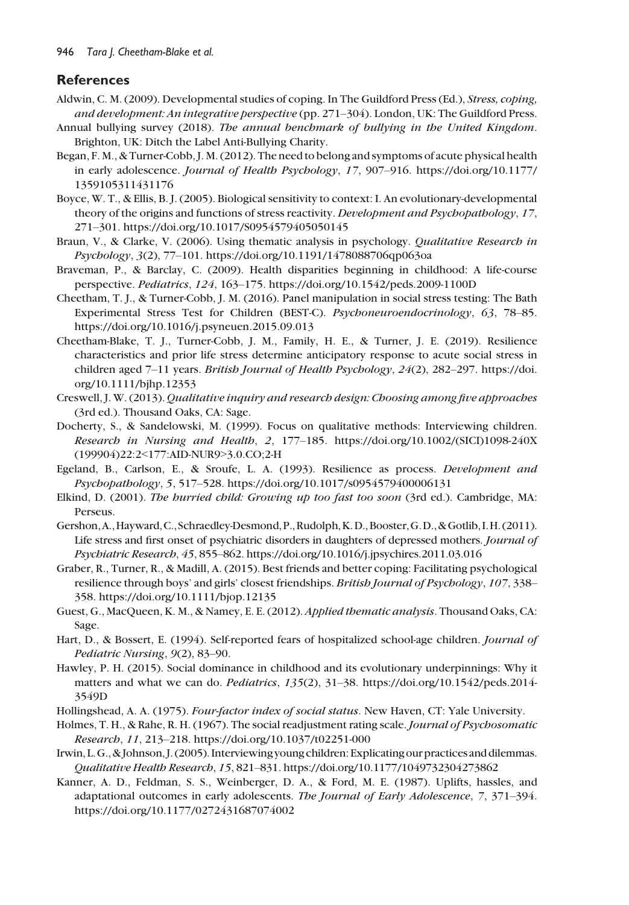# **References**

- Aldwin, C. M. (2009). Developmental studies of coping. In The Guildford Press (Ed.), Stress, coping, and development: An integrative perspective (pp. 271–304). London, UK: The Guildford Press.
- Annual bullying survey (2018). The annual benchmark of bullying in the United Kingdom. Brighton, UK: Ditch the Label Anti-Bullying Charity.
- Began, F. M., & Turner-Cobb, J. M. (2012). The need to belong and symptoms of acute physical health in early adolescence. Journal of Health Psychology, 17, 907–916. [https://doi.org/10.1177/](https://doi.org/10.1177/1359105311431176) [1359105311431176](https://doi.org/10.1177/1359105311431176)
- Boyce, W. T., & Ellis, B. J. (2005). Biological sensitivity to context: I. An evolutionary-developmental theory of the origins and functions of stress reactivity. Development and Psychopathology, 17, 271–301.<https://doi.org/10.1017/S0954579405050145>
- Braun, V., & Clarke, V. (2006). Using thematic analysis in psychology. Qualitative Research in Psychology, 3(2), 77–101.<https://doi.org/10.1191/1478088706qp063oa>
- Braveman, P., & Barclay, C. (2009). Health disparities beginning in childhood: A life-course perspective. Pediatrics, 124, 163–175.<https://doi.org/10.1542/peds.2009-1100D>
- Cheetham, T. J., & Turner-Cobb, J. M. (2016). Panel manipulation in social stress testing: The Bath Experimental Stress Test for Children (BEST-C). Psychoneuroendocrinology, 63, 78–85. <https://doi.org/10.1016/j.psyneuen.2015.09.013>
- Cheetham-Blake, T. J., Turner-Cobb, J. M., Family, H. E., & Turner, J. E. (2019). Resilience characteristics and prior life stress determine anticipatory response to acute social stress in children aged 7-11 years. British Journal of Health Psychology, 24(2), 282-297. [https://doi.](https://doi.org/10.1111/bjhp.12353) [org/10.1111/bjhp.12353](https://doi.org/10.1111/bjhp.12353)
- Creswell, J. W. (2013).Qualitative inquiry and research design: Choosing among five approaches (3rd ed.). Thousand Oaks, CA: Sage.
- Docherty, S., & Sandelowski, M. (1999). Focus on qualitative methods: Interviewing children. Research in Nursing and Health, 2, 177–185. [https://doi.org/10.1002/\(SICI\)1098-240X](https://doi.org/10.1002/(SICI)1098-240X(199904)22:2<177:AID-NUR9>3.0.CO;2-H) (199904)22:2<[177:AID-NUR9](https://doi.org/10.1002/(SICI)1098-240X(199904)22:2<177:AID-NUR9>3.0.CO;2-H)>3.0.CO;2-H
- Egeland, B., Carlson, E., & Sroufe, L. A. (1993). Resilience as process. Development and Psychopathology, 5, 517–528.<https://doi.org/10.1017/s0954579400006131>
- Elkind, D. (2001). The hurried child: Growing up too fast too soon (3rd ed.). Cambridge, MA: Perseus.
- Gershon,A.,Hayward,C.,Schraedley-Desmond,P.,Rudolph,K.D.,Booster,G.D.,&Gotlib, I.H. (2011). Life stress and first onset of psychiatric disorders in daughters of depressed mothers. Journal of Psychiatric Research, 45, 855–862.<https://doi.org/10.1016/j.jpsychires.2011.03.016>
- Graber, R., Turner, R., & Madill, A. (2015). Best friends and better coping: Facilitating psychological resilience through boys' and girls' closest friendships. British Journal of Psychology, 107, 338– 358.<https://doi.org/10.1111/bjop.12135>
- Guest, G., MacQueen, K. M., & Namey, E. E. (2012). Applied thematic analysis. Thousand Oaks, CA: Sage.
- Hart, D., & Bossert, E. (1994). Self-reported fears of hospitalized school-age children. Journal of Pediatric Nursing, 9(2), 83–90.
- Hawley, P. H. (2015). Social dominance in childhood and its evolutionary underpinnings: Why it matters and what we can do. Pediatrics, 135(2), 31–38. [https://doi.org/10.1542/peds.2014-](https://doi.org/10.1542/peds.2014-3549D) [3549D](https://doi.org/10.1542/peds.2014-3549D)
- Hollingshead, A. A. (1975). Four-factor index of social status. New Haven, CT: Yale University.
- Holmes, T. H., & Rahe, R. H. (1967). The social readjustment rating scale. Journal of Psychosomatic Research, 11, 213–218.<https://doi.org/10.1037/t02251-000>
- Irwin, L.G., & Johnson, J. (2005). Interviewing young children: Explicating our practices and dilemmas. Qualitative Health Research, 15, 821–831.<https://doi.org/10.1177/1049732304273862>
- Kanner, A. D., Feldman, S. S., Weinberger, D. A., & Ford, M. E. (1987). Uplifts, hassles, and adaptational outcomes in early adolescents. The Journal of Early Adolescence, 7, 371–394. <https://doi.org/10.1177/0272431687074002>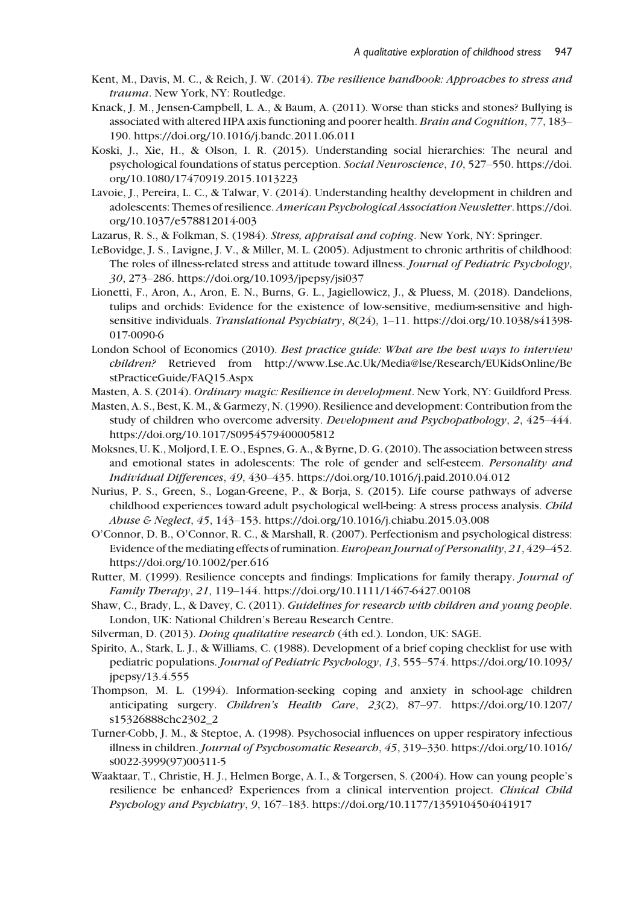- Kent, M., Davis, M. C., & Reich, J. W. (2014). The resilience handbook: Approaches to stress and trauma. New York, NY: Routledge.
- Knack, J. M., Jensen-Campbell, L. A., & Baum, A. (2011). Worse than sticks and stones? Bullying is associated with altered HPA axis functioning and poorer health. Brain and Cognition, 77, 183– 190.<https://doi.org/10.1016/j.bandc.2011.06.011>
- Koski, J., Xie, H., & Olson, I. R. (2015). Understanding social hierarchies: The neural and psychological foundations of status perception. Social Neuroscience, 10, 527–550. [https://doi.](https://doi.org/10.1080/17470919.2015.1013223) [org/10.1080/17470919.2015.1013223](https://doi.org/10.1080/17470919.2015.1013223)
- Lavoie, J., Pereira, L. C., & Talwar, V. (2014). Understanding healthy development in children and adolescents: Themes of resilience. American Psychological Association Newsletter. [https://doi.](https://doi.org/10.1037/e578812014-003) [org/10.1037/e578812014-003](https://doi.org/10.1037/e578812014-003)
- Lazarus, R. S., & Folkman, S. (1984). Stress, appraisal and coping. New York, NY: Springer.
- LeBovidge, J. S., Lavigne, J. V., & Miller, M. L. (2005). Adjustment to chronic arthritis of childhood: The roles of illness-related stress and attitude toward illness. Journal of Pediatric Psychology, 30, 273–286.<https://doi.org/10.1093/jpepsy/jsi037>
- Lionetti, F., Aron, A., Aron, E. N., Burns, G. L., Jagiellowicz, J., & Pluess, M. (2018). Dandelions, tulips and orchids: Evidence for the existence of low-sensitive, medium-sensitive and highsensitive individuals. Translational Psychiatry, 8(24), 1-11. [https://doi.org/10.1038/s41398-](https://doi.org/10.1038/s41398-017-0090-6) [017-0090-6](https://doi.org/10.1038/s41398-017-0090-6)
- London School of Economics (2010). Best practice guide: What are the best ways to interview children? Retrieved from [http://www.Lse.Ac.Uk/Media@lse/Research/EUKidsOnline/Be](http://www.Lse.Ac.Uk/Media@lse/Research/EUKidsOnline/BestPracticeGuide/FAQ15.Aspx) [stPracticeGuide/FAQ15.Aspx](http://www.Lse.Ac.Uk/Media@lse/Research/EUKidsOnline/BestPracticeGuide/FAQ15.Aspx)
- Masten, A. S. (2014). Ordinary magic: Resilience in development. New York, NY: Guildford Press.
- Masten, A. S., Best, K. M., & Garmezy, N. (1990). Resilience and development: Contribution from the study of children who overcome adversity. Development and Psychopathology, 2, 425–444. <https://doi.org/10.1017/S0954579400005812>
- Moksnes, U. K., Moljord, I. E. O., Espnes, G. A., & Byrne, D. G. (2010). The association between stress and emotional states in adolescents: The role of gender and self-esteem. Personality and Individual Differences, 49, 430–435.<https://doi.org/10.1016/j.paid.2010.04.012>
- Nurius, P. S., Green, S., Logan-Greene, P., & Borja, S. (2015). Life course pathways of adverse childhood experiences toward adult psychological well-being: A stress process analysis. Child Abuse & Neglect, 45, 143–153.<https://doi.org/10.1016/j.chiabu.2015.03.008>
- O'Connor, D. B., O'Connor, R. C., & Marshall, R. (2007). Perfectionism and psychological distress: Evidence of the mediating effects of rumination. *European Journal of Personality*, 21, 429–452. <https://doi.org/10.1002/per.616>
- Rutter, M. (1999). Resilience concepts and findings: Implications for family therapy. Journal of Family Therapy, 21, 119–144.<https://doi.org/10.1111/1467-6427.00108>
- Shaw, C., Brady, L., & Davey, C. (2011). Guidelines for research with children and young people. London, UK: National Children's Bereau Research Centre.
- Silverman, D. (2013). Doing qualitative research (4th ed.). London, UK: SAGE.
- Spirito, A., Stark, L. J., & Williams, C. (1988). Development of a brief coping checklist for use with pediatric populations. Journal of Pediatric Psychology, 13, 555–574. [https://doi.org/10.1093/](https://doi.org/10.1093/jpepsy/13.4.555) [jpepsy/13.4.555](https://doi.org/10.1093/jpepsy/13.4.555)
- Thompson, M. L. (1994). Information-seeking coping and anxiety in school-age children anticipating surgery. Children's Health Care, 23(2), 87–97. [https://doi.org/10.1207/](https://doi.org/10.1207/s15326888chc2302_2) [s15326888chc2302\\_2](https://doi.org/10.1207/s15326888chc2302_2)
- Turner-Cobb, J. M., & Steptoe, A. (1998). Psychosocial influences on upper respiratory infectious illness in children. Journal of Psychosomatic Research, 45, 319–330. [https://doi.org/10.1016/](https://doi.org/10.1016/s0022-3999(97)00311-5) [s0022-3999\(97\)00311-5](https://doi.org/10.1016/s0022-3999(97)00311-5)
- Waaktaar, T., Christie, H. J., Helmen Borge, A. I., & Torgersen, S. (2004). How can young people's resilience be enhanced? Experiences from a clinical intervention project. Clinical Child Psychology and Psychiatry, 9, 167–183.<https://doi.org/10.1177/1359104504041917>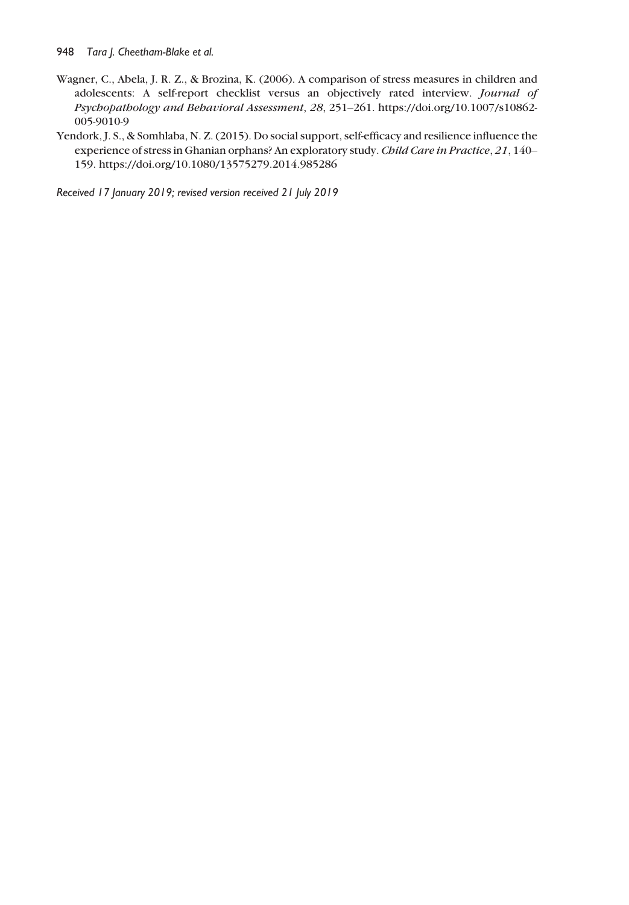- Wagner, C., Abela, J. R. Z., & Brozina, K. (2006). A comparison of stress measures in children and adolescents: A self-report checklist versus an objectively rated interview. Journal of Psychopathology and Behavioral Assessment, 28, 251–261. [https://doi.org/10.1007/s10862-](https://doi.org/10.1007/s10862-005-9010-9) [005-9010-9](https://doi.org/10.1007/s10862-005-9010-9)
- Yendork, J. S., & Somhlaba, N. Z. (2015). Do social support, self-efficacy and resilience influence the experience of stress in Ghanian orphans? An exploratory study. Child Care in Practice, 21, 140– 159.<https://doi.org/10.1080/13575279.2014.985286>

Received 17 January 2019; revised version received 21 July 2019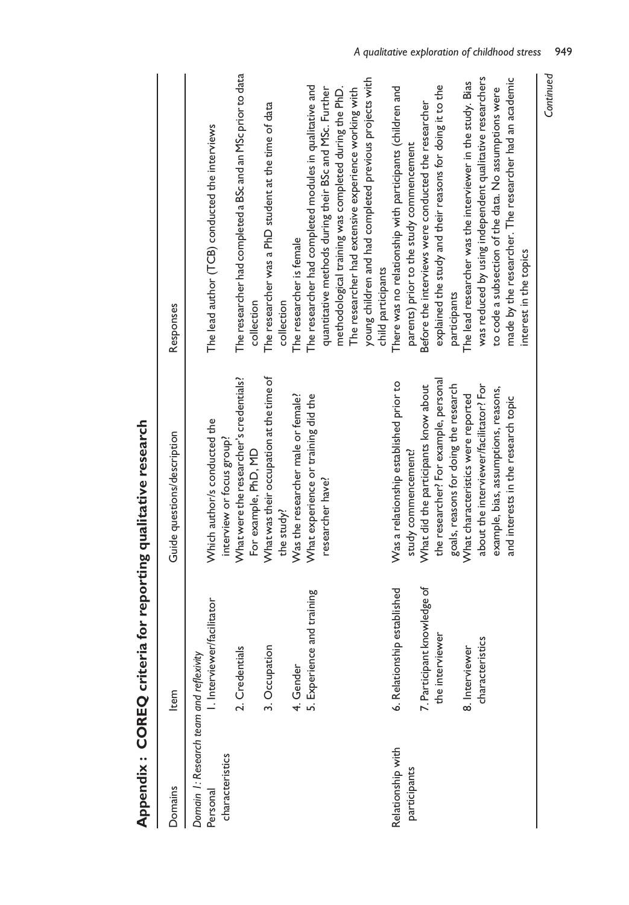| Domains                                                                | Item                              | Guide questions/description                                                  | Responses                                                                                                              |
|------------------------------------------------------------------------|-----------------------------------|------------------------------------------------------------------------------|------------------------------------------------------------------------------------------------------------------------|
| Domain 1: Research team and reflexivity<br>characteristics<br>Personal | I. Interviewer/facilitator        | Which author/s conducted the<br>interview or focus group?                    | The lead author (TCB) conducted the interviews                                                                         |
|                                                                        | 2. Credentials                    | What were the researcher's credentials?<br>For example, PhD, MD              | The researcher had completed a BSc and an MSc prior to data<br>collection                                              |
|                                                                        | 3. Occupation                     | What was their occupation at the time of<br>the study?                       | The researcher was a PhD student at the time of data<br>collection                                                     |
|                                                                        | 4. Gender                         | Was the researcher male or female?                                           | The researcher is female                                                                                               |
|                                                                        | and training<br>5. Experience     | What experience or training did the<br>researcher have?                      | The researcher had completed modules in qualitative and<br>quantitative methods during their BSc and MSc. Further      |
|                                                                        |                                   |                                                                              | methodological training was completed during the PhD.<br>The researcher had extensive experience working with          |
|                                                                        |                                   |                                                                              | young children and had completed previous projects with<br>child participants                                          |
| Relationship with<br>participants                                      | 6. Relationship established       | Was a relationship established prior to<br>study commencement?               | There was no relationship with participants (children and<br>parents) prior to the study commencement                  |
|                                                                        | 7. Participant knowledge of       | What did the participants know about                                         | Before the interviews were conducted the researcher                                                                    |
|                                                                        | the interviewer                   | the researcher? For example, personal                                        | explained the study and their reasons for doing it to the                                                              |
|                                                                        |                                   | goals, reasons for doing the research                                        | participants                                                                                                           |
|                                                                        | characteristics<br>8. Interviewer | about the interviewer/facilitator? For<br>What characteristics were reported | was reduced by using independent qualitative researchers<br>The lead researcher was the interviewer in the study. Bias |
|                                                                        |                                   | example, bias, assumptions, reasons,                                         | to code a subsection of the data. No assumptions were                                                                  |
|                                                                        |                                   | and interests in the research topic                                          | made by the researcher. The researcher had an academic                                                                 |
|                                                                        |                                   |                                                                              | interest in the topics                                                                                                 |

Appendix: COREQ criteria for reporting qualitative research Appendix : COREQ criteria for reporting qualitative research Continued Continued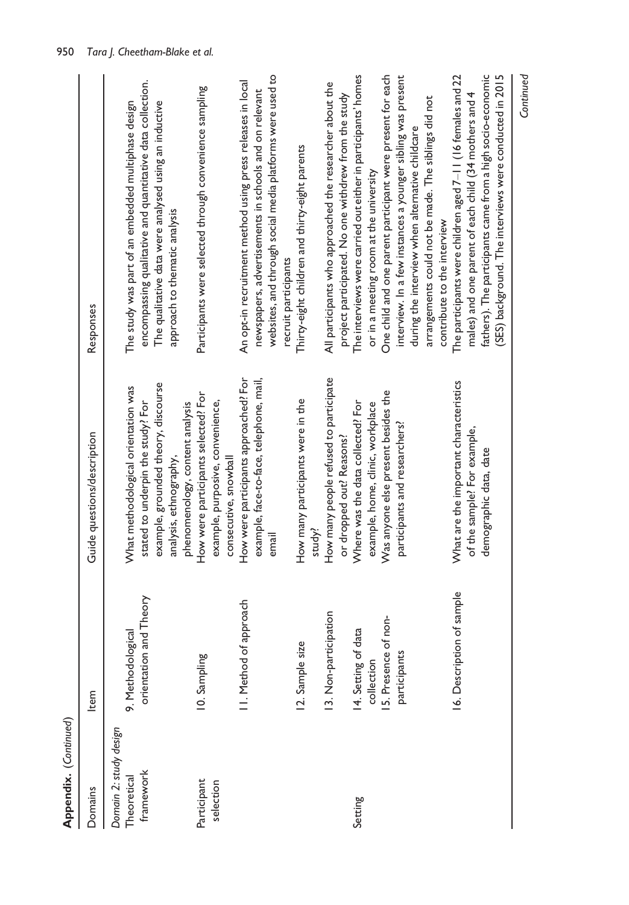| Appendix. (Continued)                              |                                                    |                                                                                                                                                                              |                                                                                                                                                                                                                                                                                                               |
|----------------------------------------------------|----------------------------------------------------|------------------------------------------------------------------------------------------------------------------------------------------------------------------------------|---------------------------------------------------------------------------------------------------------------------------------------------------------------------------------------------------------------------------------------------------------------------------------------------------------------|
| Domains                                            | Item                                               | Guide questions/description                                                                                                                                                  | Responses                                                                                                                                                                                                                                                                                                     |
| Domain 2: study design<br>framework<br>Theoretical | and Theory<br>9. Methodological<br>orientation     | example, grounded theory, discourse<br>What methodological orientation was<br>stated to underpin the study? For<br>phenomenology, content analysis<br>analysis, ethnography, | encompassing qualitative and quantitative data collection.<br>The qualitative data were analysed using an inductive<br>The study was part of an embedded multiphase design<br>approach to thematic analysis                                                                                                   |
| Participant<br>selection                           | 10. Sampling                                       | How were participants selected? For<br>example, purposive, convenience,<br>consecutive, snowball                                                                             | Participants were selected through convenience sampling                                                                                                                                                                                                                                                       |
|                                                    | I. Method of approach                              | How were participants approached? For<br>example, face-to-face, telephone, mail,<br>email                                                                                    | websites, and through social media platforms were used to<br>An opt-in recruitment method using press releases in local<br>newspapers, advertisements in schools and on relevant<br>recruit participants                                                                                                      |
|                                                    | 13. Non-participation<br>12. Sample size           | How many people refused to participate<br>How many participants were in the<br>study?                                                                                        | All participants who approached the researcher about the<br>Thirty-eight children and thirty-eight parents                                                                                                                                                                                                    |
| Setting                                            | 14. Setting of data                                | Where was the data collected? For<br>or dropped out? Reasons?                                                                                                                | The interviews were carried out either in participants' homes<br>project participated. No one withdrew from the study                                                                                                                                                                                         |
|                                                    | 15. Presence of non-<br>participants<br>collection | Was anyone else present besides the<br>example, home, clinic, workplace<br>participants and researchers?                                                                     | One child and one parent participant were present for each<br>interview. In a few instances a younger sibling was present<br>arrangements could not be made. The siblings did not<br>during the interview when alternative childcare<br>or in a meeting room at the university<br>contribute to the interview |
|                                                    | 16. Description of sample                          | What are the important characteristics<br>of the sample? For example,<br>demographic data, date                                                                              | fathers). The participants came from a high socio-economic<br>(SES) background. The interviews were conducted in 2015<br>The participants were children aged $7-11$ (16 females and $22$<br>males) and one parent of each child (34 mothers and 4                                                             |
|                                                    |                                                    |                                                                                                                                                                              | Continued                                                                                                                                                                                                                                                                                                     |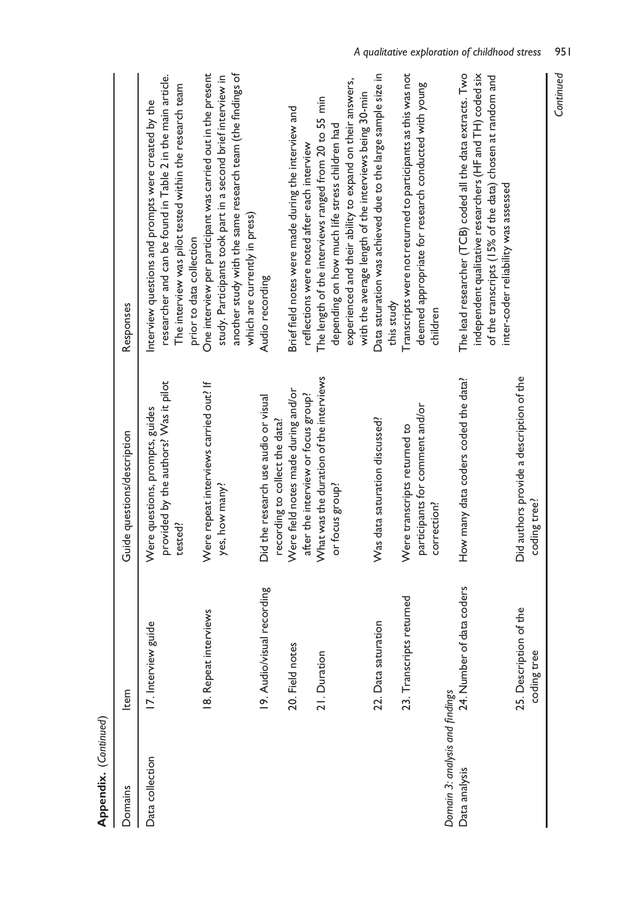| <b>LANDRING CONTROLLER</b>      |                                       |                                                                                     |                                                                                                                                                                                                                              |
|---------------------------------|---------------------------------------|-------------------------------------------------------------------------------------|------------------------------------------------------------------------------------------------------------------------------------------------------------------------------------------------------------------------------|
| Domains                         | Item                                  | Guide questions/description                                                         | Responses                                                                                                                                                                                                                    |
| Data collection                 | guide<br>17. Interview                | provided by the authors? Was it pilot<br>Were questions, prompts, guides<br>tested? | researcher and can be found in Table 2 in the main article.<br>The interview was pilot tested within the research team<br>Interview questions and prompts were created by the<br>prior to data collection                    |
|                                 | 18. Repeat interviews                 | Were repeat interviews carried out? If<br>yes, how many?                            | One interview per participant was carried out in the present<br>another study with the same research team (the findings of<br>study. Participants took part in a second brief interview in<br>which are currently in press)  |
|                                 | 19. Audio/visual recording            | Did the research use audio or visual<br>recording to collect the data?              | Audio recording                                                                                                                                                                                                              |
|                                 | 20. Field notes                       | Were field notes made during and/or<br>after the interview or focus group?          | Brief field notes were made during the interview and<br>reflections were noted after each interview                                                                                                                          |
|                                 | 21. Duration                          | What was the duration of the interviews<br>or focus group?                          | The length of the interviews ranged from 20 to 55 min<br>depending on how much life stress children had                                                                                                                      |
|                                 |                                       |                                                                                     | experienced and their ability to expand on their answers,<br>with the average length of the interviews being 30-min                                                                                                          |
|                                 | 22. Data saturation                   | Was data saturation discussed?                                                      | Data saturation was achieved due to the large sample size in<br>this study                                                                                                                                                   |
|                                 | 23. Transcripts returned              | participants for comment and/or<br>Were transcripts returned to<br>correction?      | Transcripts were not returned to participants as this was not<br>deemed appropriate for research conducted with young<br>children                                                                                            |
| Domain 3: analysis and findings |                                       |                                                                                     |                                                                                                                                                                                                                              |
| Data analysis                   | 24. Number of data coders             | How many data coders coded the data?                                                | The lead researcher (TCB) coded all the data extracts. Two<br>independent qualitative researchers (HF and TH) coded six<br>of the transcripts (15% of the data) chosen at random and<br>inter-coder reliability was assessed |
|                                 | 25. Description of the<br>coding tree | Did authors provide a description of the<br>coding tree?                            |                                                                                                                                                                                                                              |
|                                 |                                       |                                                                                     | Continued                                                                                                                                                                                                                    |